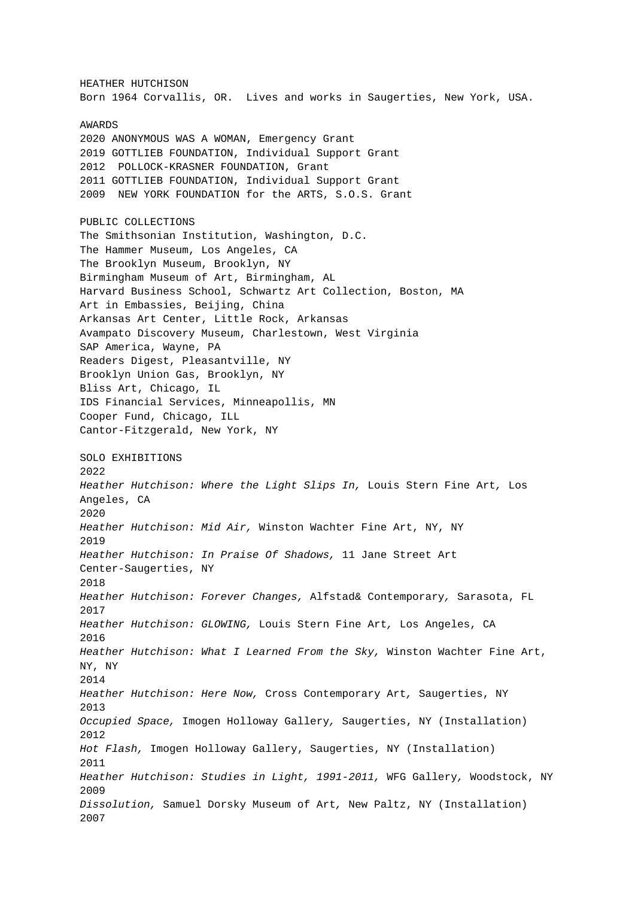HEATHER HUTCHISON Born 1964 Corvallis, OR. Lives and works in Saugerties, New York, USA. AWARDS 2020 ANONYMOUS WAS A WOMAN, Emergency Grant 2019 GOTTLIEB FOUNDATION, Individual Support Grant 2012 POLLOCK-KRASNER FOUNDATION, Grant 2011 GOTTLIEB FOUNDATION, Individual Support Grant 2009 NEW YORK FOUNDATION for the ARTS, S.O.S. Grant PUBLIC COLLECTIONS The Smithsonian Institution, Washington, D.C. The Hammer Museum, Los Angeles, CA The Brooklyn Museum, Brooklyn, NY Birmingham Museum of Art, Birmingham, AL Harvard Business School, Schwartz Art Collection, Boston, MA Art in Embassies, Beijing, China Arkansas Art Center, Little Rock, Arkansas Avampato Discovery Museum, Charlestown, West Virginia SAP America, Wayne, PA Readers Digest, Pleasantville, NY Brooklyn Union Gas, Brooklyn, NY Bliss Art, Chicago, IL IDS Financial Services, Minneapollis, MN Cooper Fund, Chicago, ILL Cantor-Fitzgerald, New York, NY SOLO EXHIBITIONS 2022 Heather Hutchison: Where the Light Slips In, Louis Stern Fine Art, Los Angeles, CA 2020 Heather Hutchison: Mid Air, Winston Wachter Fine Art, NY, NY 2019 Heather Hutchison: In Praise Of Shadows, 11 Jane Street Art Center-Saugerties, NY 2018 Heather Hutchison: Forever Changes, Alfstad& Contemporary, Sarasota, FL 2017 Heather Hutchison: GLOWING, Louis Stern Fine Art, Los Angeles, CA 2016 Heather Hutchison: What I Learned From the Sky, Winston Wachter Fine Art, NY, NY 2014 Heather Hutchison: Here Now, Cross Contemporary Art, Saugerties, NY 2013 Occupied Space, Imogen Holloway Gallery, Saugerties, NY (Installation) 2012 Hot Flash, Imogen Holloway Gallery, Saugerties, NY (Installation) 2011 Heather Hutchison: Studies in Light, 1991-2011, WFG Gallery, Woodstock, NY 2009 Dissolution, Samuel Dorsky Museum of Art, New Paltz, NY (Installation) 2007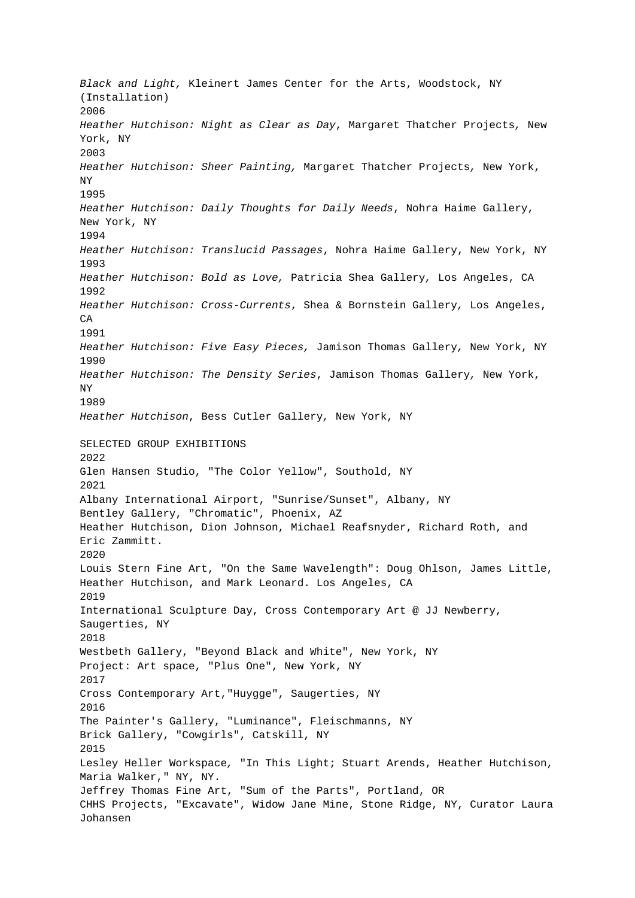Black and Light, Kleinert James Center for the Arts, Woodstock, NY (Installation) 2006 Heather Hutchison: Night as Clear as Day, Margaret Thatcher Projects, New York, NY 2003 Heather Hutchison: Sheer Painting, Margaret Thatcher Projects, New York, NY 1995 Heather Hutchison: Daily Thoughts for Daily Needs, Nohra Haime Gallery, New York, NY 1994 Heather Hutchison: Translucid Passages, Nohra Haime Gallery, New York, NY 1993 Heather Hutchison: Bold as Love, Patricia Shea Gallery, Los Angeles, CA 1992 Heather Hutchison: Cross-Currents, Shea & Bornstein Gallery, Los Angeles, CA 1991 Heather Hutchison: Five Easy Pieces, Jamison Thomas Gallery, New York, NY 1990 Heather Hutchison: The Density Series, Jamison Thomas Gallery, New York, NY 1989 Heather Hutchison, Bess Cutler Gallery, New York, NY SELECTED GROUP EXHIBITIONS 2022 Glen Hansen Studio, "The Color Yellow", Southold, NY 2021 Albany International Airport, "Sunrise/Sunset", Albany, NY Bentley Gallery, "Chromatic", Phoenix, AZ Heather Hutchison, Dion Johnson, Michael Reafsnyder, Richard Roth, and Eric Zammitt. 2020 Louis Stern Fine Art, "On the Same Wavelength": Doug Ohlson, James Little, Heather Hutchison, and Mark Leonard. Los Angeles, CA 2019 International Sculpture Day, Cross Contemporary Art @ JJ Newberry, Saugerties, NY 2018 Westbeth Gallery, "Beyond Black and White", New York, NY Project: Art space, "Plus One", New York, NY 2017 Cross Contemporary Art,"Huygge", Saugerties, NY 2016 The Painter's Gallery, "Luminance", Fleischmanns, NY Brick Gallery, "Cowgirls", Catskill, NY 2015 Lesley Heller Workspace, "In This Light; Stuart Arends, Heather Hutchison, Maria Walker," NY, NY. Jeffrey Thomas Fine Art, "Sum of the Parts", Portland, OR CHHS Projects, "Excavate", Widow Jane Mine, Stone Ridge, NY, Curator Laura Johansen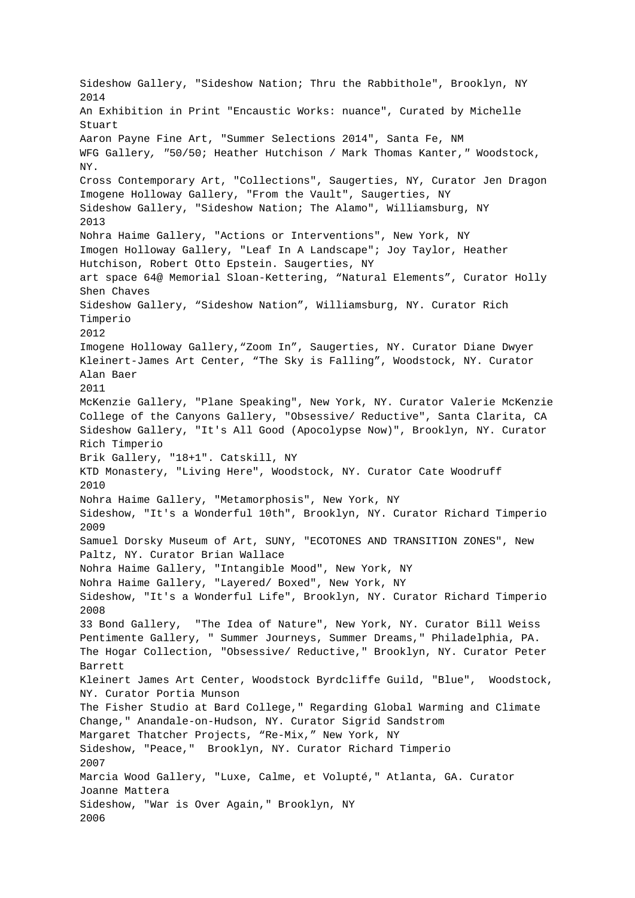Sideshow Gallery, "Sideshow Nation; Thru the Rabbithole", Brooklyn, NY 2014 An Exhibition in Print "Encaustic Works: nuance", Curated by Michelle Stuart Aaron Payne Fine Art, "Summer Selections 2014", Santa Fe, NM WFG Gallery, "50/50; Heather Hutchison / Mark Thomas Kanter," Woodstock, NY. Cross Contemporary Art, "Collections", Saugerties, NY, Curator Jen Dragon Imogene Holloway Gallery, "From the Vault", Saugerties, NY Sideshow Gallery, "Sideshow Nation; The Alamo", Williamsburg, NY 2013 Nohra Haime Gallery, "Actions or Interventions", New York, NY Imogen Holloway Gallery, "Leaf In A Landscape"; Joy Taylor, Heather Hutchison, Robert Otto Epstein. Saugerties, NY art space 64@ Memorial Sloan-Kettering, "Natural Elements", Curator Holly Shen Chaves Sideshow Gallery, "Sideshow Nation", Williamsburg, NY. Curator Rich Timperio 2012 Imogene Holloway Gallery,"Zoom In", Saugerties, NY. Curator Diane Dwyer Kleinert-James Art Center, "The Sky is Falling", Woodstock, NY. Curator Alan Baer 2011 McKenzie Gallery, "Plane Speaking", New York, NY. Curator Valerie McKenzie College of the Canyons Gallery, "Obsessive/ Reductive", Santa Clarita, CA Sideshow Gallery, "It's All Good (Apocolypse Now)", Brooklyn, NY. Curator Rich Timperio Brik Gallery, "18+1". Catskill, NY KTD Monastery, "Living Here", Woodstock, NY. Curator Cate Woodruff 2010 Nohra Haime Gallery, "Metamorphosis", New York, NY Sideshow, "It's a Wonderful 10th", Brooklyn, NY. Curator Richard Timperio 2009 Samuel Dorsky Museum of Art, SUNY, "ECOTONES AND TRANSITION ZONES", New Paltz, NY. Curator Brian Wallace Nohra Haime Gallery, "Intangible Mood", New York, NY Nohra Haime Gallery, "Layered/ Boxed", New York, NY Sideshow, "It's a Wonderful Life", Brooklyn, NY. Curator Richard Timperio 2008 33 Bond Gallery, "The Idea of Nature", New York, NY. Curator Bill Weiss Pentimente Gallery, " Summer Journeys, Summer Dreams," Philadelphia, PA. The Hogar Collection, "Obsessive/ Reductive," Brooklyn, NY. Curator Peter Barrett Kleinert James Art Center, Woodstock Byrdcliffe Guild, "Blue", Woodstock, NY. Curator Portia Munson The Fisher Studio at Bard College," Regarding Global Warming and Climate Change," Anandale-on-Hudson, NY. Curator Sigrid Sandstrom Margaret Thatcher Projects, "Re-Mix," New York, NY Sideshow, "Peace," Brooklyn, NY. Curator Richard Timperio 2007 Marcia Wood Gallery, "Luxe, Calme, et Volupté," Atlanta, GA. Curator Joanne Mattera Sideshow, "War is Over Again," Brooklyn, NY 2006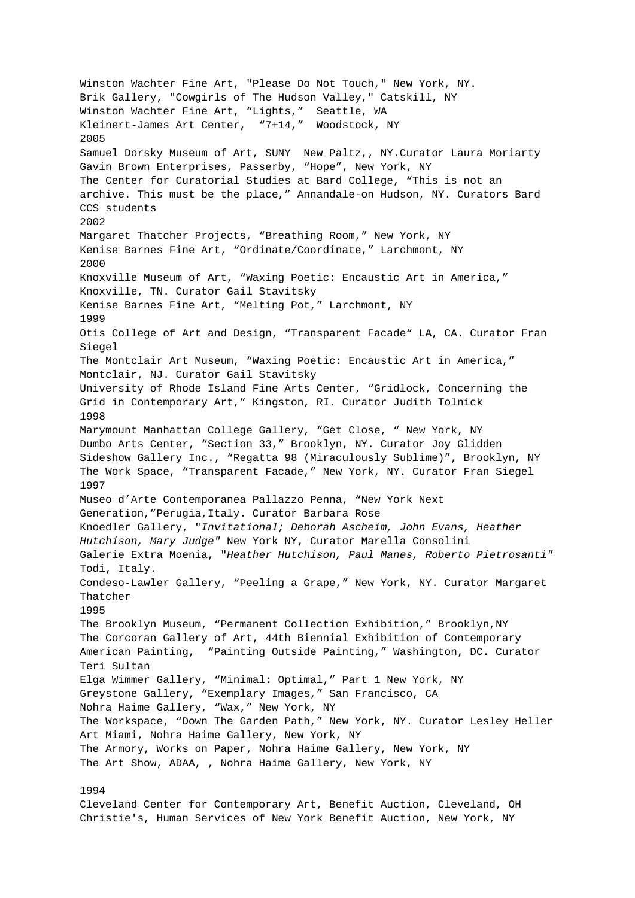Winston Wachter Fine Art, "Please Do Not Touch," New York, NY. Brik Gallery, "Cowgirls of The Hudson Valley," Catskill, NY Winston Wachter Fine Art, "Lights," Seattle, WA Kleinert-James Art Center, "7+14," Woodstock, NY 2005 Samuel Dorsky Museum of Art, SUNY New Paltz,, NY.Curator Laura Moriarty Gavin Brown Enterprises, Passerby, "Hope", New York, NY The Center for Curatorial Studies at Bard College, "This is not an archive. This must be the place," Annandale-on Hudson, NY. Curators Bard CCS students 2002 Margaret Thatcher Projects, "Breathing Room," New York, NY Kenise Barnes Fine Art, "Ordinate/Coordinate," Larchmont, NY 2000 Knoxville Museum of Art, "Waxing Poetic: Encaustic Art in America," Knoxville, TN. Curator Gail Stavitsky Kenise Barnes Fine Art, "Melting Pot," Larchmont, NY 1999 Otis College of Art and Design, "Transparent Facade" LA, CA. Curator Fran Siegel The Montclair Art Museum, "Waxing Poetic: Encaustic Art in America," Montclair, NJ. Curator Gail Stavitsky University of Rhode Island Fine Arts Center, "Gridlock, Concerning the Grid in Contemporary Art," Kingston, RI. Curator Judith Tolnick 1998 Marymount Manhattan College Gallery, "Get Close, " New York, NY Dumbo Arts Center, "Section 33," Brooklyn, NY. Curator Joy Glidden Sideshow Gallery Inc., "Regatta 98 (Miraculously Sublime)", Brooklyn, NY The Work Space, "Transparent Facade," New York, NY. Curator Fran Siegel 1997 Museo d'Arte Contemporanea Pallazzo Penna, "New York Next Generation,"Perugia,Italy. Curator Barbara Rose Knoedler Gallery, "Invitational; Deborah Ascheim, John Evans, Heather Hutchison, Mary Judge" New York NY, Curator Marella Consolini Galerie Extra Moenia, "Heather Hutchison, Paul Manes, Roberto Pietrosanti" Todi, Italy. Condeso-Lawler Gallery, "Peeling a Grape," New York, NY. Curator Margaret Thatcher 1995 The Brooklyn Museum, "Permanent Collection Exhibition," Brooklyn, NY The Corcoran Gallery of Art, 44th Biennial Exhibition of Contemporary American Painting, "Painting Outside Painting," Washington, DC. Curator Teri Sultan Elga Wimmer Gallery, "Minimal: Optimal," Part 1 New York, NY Greystone Gallery, "Exemplary Images," San Francisco, CA Nohra Haime Gallery, "Wax," New York, NY The Workspace, "Down The Garden Path," New York, NY. Curator Lesley Heller Art Miami, Nohra Haime Gallery, New York, NY The Armory, Works on Paper, Nohra Haime Gallery, New York, NY The Art Show, ADAA, , Nohra Haime Gallery, New York, NY

## 1994

Cleveland Center for Contemporary Art, Benefit Auction, Cleveland, OH Christie's, Human Services of New York Benefit Auction, New York, NY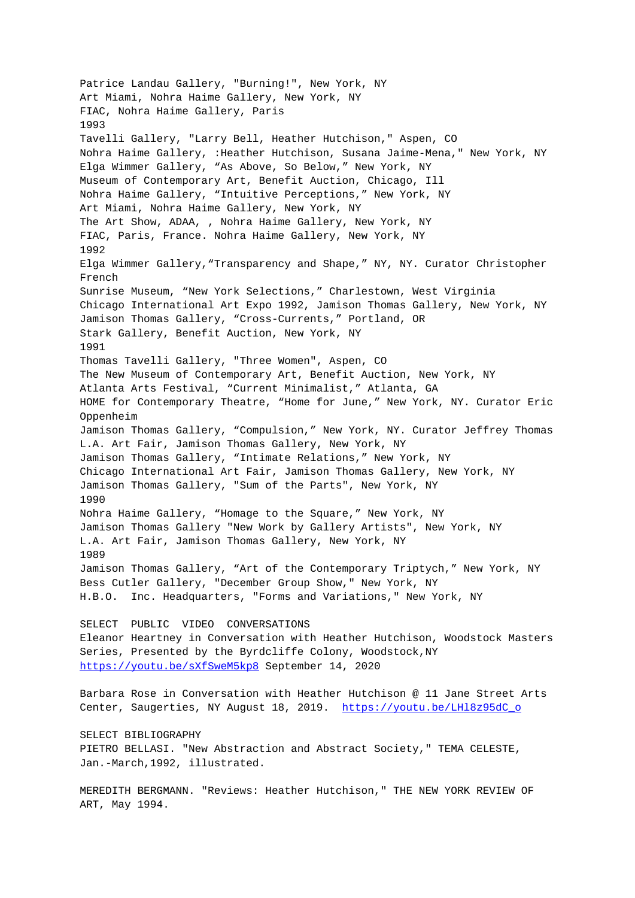Patrice Landau Gallery, "Burning!", New York, NY Art Miami, Nohra Haime Gallery, New York, NY FIAC, Nohra Haime Gallery, Paris 1993 Tavelli Gallery, "Larry Bell, Heather Hutchison," Aspen, CO Nohra Haime Gallery, :Heather Hutchison, Susana Jaime-Mena," New York, NY Elga Wimmer Gallery, "As Above, So Below," New York, NY Museum of Contemporary Art, Benefit Auction, Chicago, Ill Nohra Haime Gallery, "Intuitive Perceptions," New York, NY Art Miami, Nohra Haime Gallery, New York, NY The Art Show, ADAA, , Nohra Haime Gallery, New York, NY FIAC, Paris, France. Nohra Haime Gallery, New York, NY 1992 Elga Wimmer Gallery,"Transparency and Shape," NY, NY. Curator Christopher French Sunrise Museum, "New York Selections," Charlestown, West Virginia Chicago International Art Expo 1992, Jamison Thomas Gallery, New York, NY Jamison Thomas Gallery, "Cross-Currents," Portland, OR Stark Gallery, Benefit Auction, New York, NY 1991 Thomas Tavelli Gallery, "Three Women", Aspen, CO The New Museum of Contemporary Art, Benefit Auction, New York, NY Atlanta Arts Festival, "Current Minimalist," Atlanta, GA HOME for Contemporary Theatre, "Home for June," New York, NY. Curator Eric Oppenheim Jamison Thomas Gallery, "Compulsion," New York, NY. Curator Jeffrey Thomas L.A. Art Fair, Jamison Thomas Gallery, New York, NY Jamison Thomas Gallery, "Intimate Relations," New York, NY Chicago International Art Fair, Jamison Thomas Gallery, New York, NY Jamison Thomas Gallery, "Sum of the Parts", New York, NY 1990 Nohra Haime Gallery, "Homage to the Square," New York, NY Jamison Thomas Gallery "New Work by Gallery Artists", New York, NY L.A. Art Fair, Jamison Thomas Gallery, New York, NY 1989 Jamison Thomas Gallery, "Art of the Contemporary Triptych," New York, NY Bess Cutler Gallery, "December Group Show," New York, NY H.B.O. Inc. Headquarters, "Forms and Variations," New York, NY SELECT PUBLIC VIDEO CONVERSATIONS Eleanor Heartney in Conversation with Heather Hutchison, Woodstock Masters Series, Presented by the Byrdcliffe Colony, Woodstock,NY https://youtu.be/sXfSweM5kp8 September 14, 2020 Barbara Rose in Conversation with Heather Hutchison @ 11 Jane Street Arts Center, Saugerties, NY August 18, 2019. https://youtu.be/LHl8z95dC\_o SELECT BIBLIOGRAPHY PIETRO BELLASI. "New Abstraction and Abstract Society," TEMA CELESTE, Jan.-March,1992, illustrated. MEREDITH BERGMANN. "Reviews: Heather Hutchison," THE NEW YORK REVIEW OF ART, May 1994.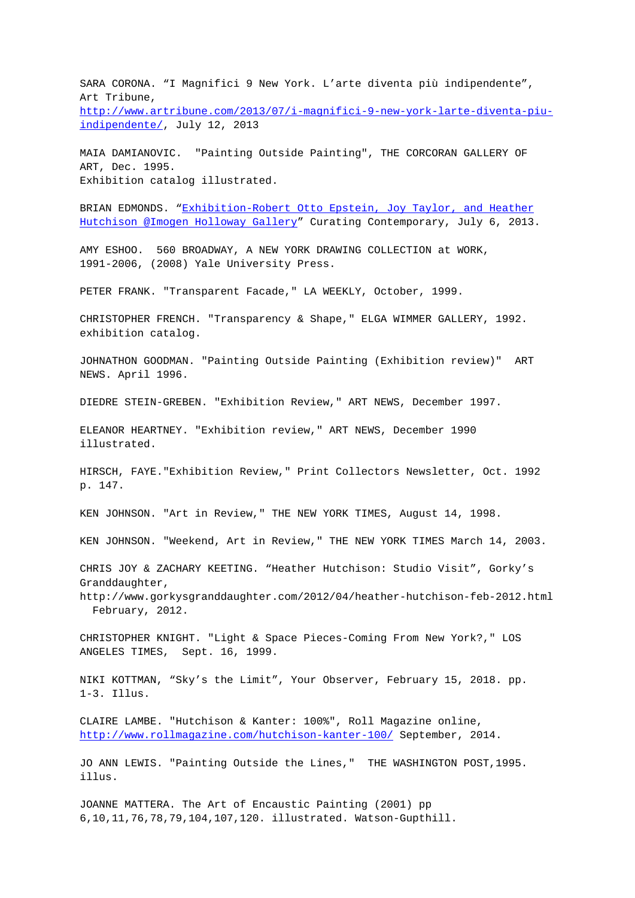SARA CORONA. "I Magnifici 9 New York. L'arte diventa più indipendente", Art Tribune, http://www.artribune.com/2013/07/i-magnifici-9-new-york-larte-diventa-piuindipendente/, July 12, 2013

MAIA DAMIANOVIC. "Painting Outside Painting", THE CORCORAN GALLERY OF [ART, Dec. 1995.](http://www.artribune.com/2013/07/i-magnifici-9-new-york-larte-diventa-piu-indipendente/) [Exhibition cat](http://www.artribune.com/2013/07/i-magnifici-9-new-york-larte-diventa-piu-indipendente/)alog illustrated.

BRIAN EDMONDS. "Exhibition-Robert Otto Epstein, Joy Taylor, and Heather Hutchison @Imogen Holloway Gallery" Curating Contemporary, July 6, 2013.

AMY ESHOO. 560 BROADWAY, A NEW YORK DRAWING COLLECTION at WORK, 1991-2006, (2008[\) Yale University Press.](http://curatingcontemporary.com/blog/?p=139)

PETER FRANK. "Transparent Facade," LA WEEKLY, October, 1999.

CHRISTOPHER FRENCH. "Transparency & Shape," ELGA WIMMER GALLERY, 1992. exhibition catalog.

JOHNATHON GOODMAN. "Painting Outside Painting (Exhibition review)" ART NEWS. April 1996.

DIEDRE STEIN-GREBEN. "Exhibition Review," ART NEWS, December 1997.

ELEANOR HEARTNEY. "Exhibition review," ART NEWS, December 1990 illustrated.

HIRSCH, FAYE."Exhibition Review," Print Collectors Newsletter, Oct. 1992 p. 147.

KEN JOHNSON. "Art in Review," THE NEW YORK TIMES, August 14, 1998.

KEN JOHNSON. "Weekend, Art in Review," THE NEW YORK TIMES March 14, 2003.

CHRIS JOY & ZACHARY KEETING. "Heather Hutchison: Studio Visit", Gorky's Granddaughter,

http://www.gorkysgranddaughter.com/2012/04/heather-hutchison-feb-2012.html February, 2012.

CHRISTOPHER KNIGHT. "Light & Space Pieces-Coming From New York?," LOS ANGELES TIMES, Sept. 16, 1999.

NIKI KOTTMAN, "Sky's the Limit", Your Observer, February 15, 2018. pp. 1-3. Illus.

CLAIRE LAMBE. "Hutchison & Kanter: 100%", Roll Magazine online, http://www.rollmagazine.com/hutchison-kanter-100/ September, 2014.

JO ANN LEWIS. "Painting Outside the Lines," THE WASHINGTON POST,1995. illus.

JOANNE MATTERA. The Art of Encaustic Painting (2001) pp 6,10,11,76,78,79,104,107,120. illustrated. Watson-Gupthill.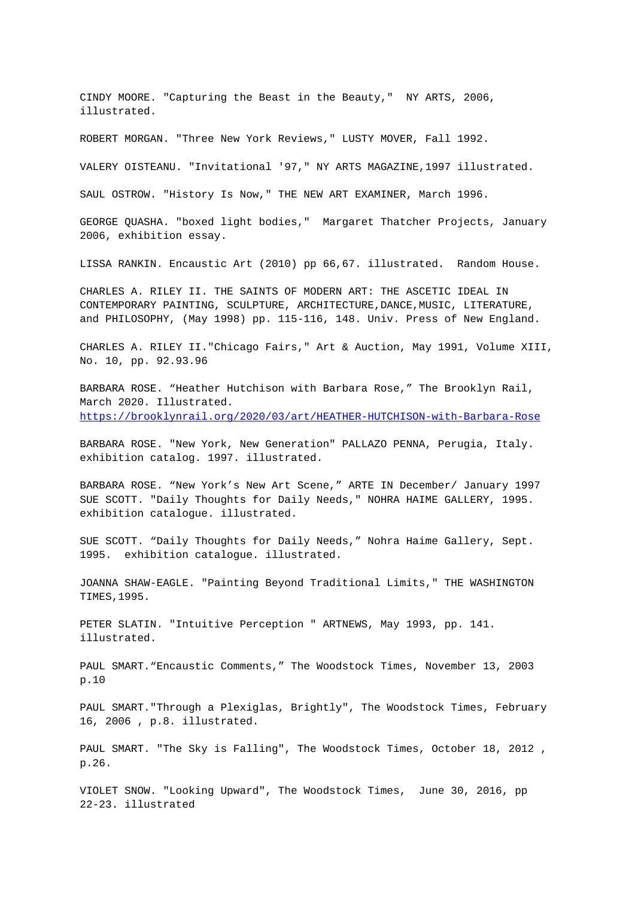CINDY MOORE. "Capturing the Beast in the Beauty," NY ARTS, 2006, illustrated.

ROBERT MORGAN. "Three New York Reviews," LUSTY MOVER, Fall 1992.

VALERY OISTEANU. "Invitational '97," NY ARTS MAGAZINE,1997 illustrated.

SAUL OSTROW. "History Is Now," THE NEW ART EXAMINER, March 1996.

GEORGE QUASHA. "boxed light bodies," Margaret Thatcher Projects, January 2006, exhibition essay.

LISSA RANKIN. Encaustic Art (2010) pp 66,67. illustrated. Random House.

CHARLES A. RILEY II. THE SAINTS OF MODERN ART: THE ASCETIC IDEAL IN CONTEMPORARY PAINTING, SCULPTURE, ARCHITECTURE, DANCE, MUSIC, LITERATURE, and PHILOSOPHY, (May 1998) pp. 115-116, 148. Univ. Press of New England.

CHARLES A. RILEY II."Chicago Fairs," Art & Auction, May 1991, Volume XIII, No. 10, pp. 92.93.96

BARBARA ROSE. "Heather Hutchison with Barbara Rose," The Brooklyn Rail, March 2020. Illustrated. https://brooklynrail.org/2020/03/art/HEATHER-HUTCHISON-with-Barbara-Rose

BARBARA ROSE. "New York, New Generation" PALLAZO PENNA, Perugia, Italy. exhibition catalog. 1997. illustrated.

BARBARA ROSE. "New York's New Art Scene," ARTE IN December/ January 1997 SUE SCOTT. "Daily Thoughts for Daily Needs," NOHRA HAIME GALLERY, 1995. exhibition catalogue. illustrated.

SUE SCOTT. "Daily Thoughts for Daily Needs," Nohra Haime Gallery, Sept. 1995. exhibition catalogue. illustrated.

JOANNA SHAW-EAGLE. "Painting Beyond Traditional Limits," THE WASHINGTON TIMES,1995.

PETER SLATIN. "Intuitive Perception " ARTNEWS, May 1993, pp. 141. illustrated.

PAUL SMART."Encaustic Comments," The Woodstock Times, November 13, 2003 p.10

PAUL SMART."Through a Plexiglas, Brightly", The Woodstock Times, February 16, 2006 , p.8. illustrated.

PAUL SMART. "The Sky is Falling", The Woodstock Times, October 18, 2012 , p.26.

VIOLET SNOW. "Looking Upward", The Woodstock Times, June 30, 2016, pp 22-23. illustrated